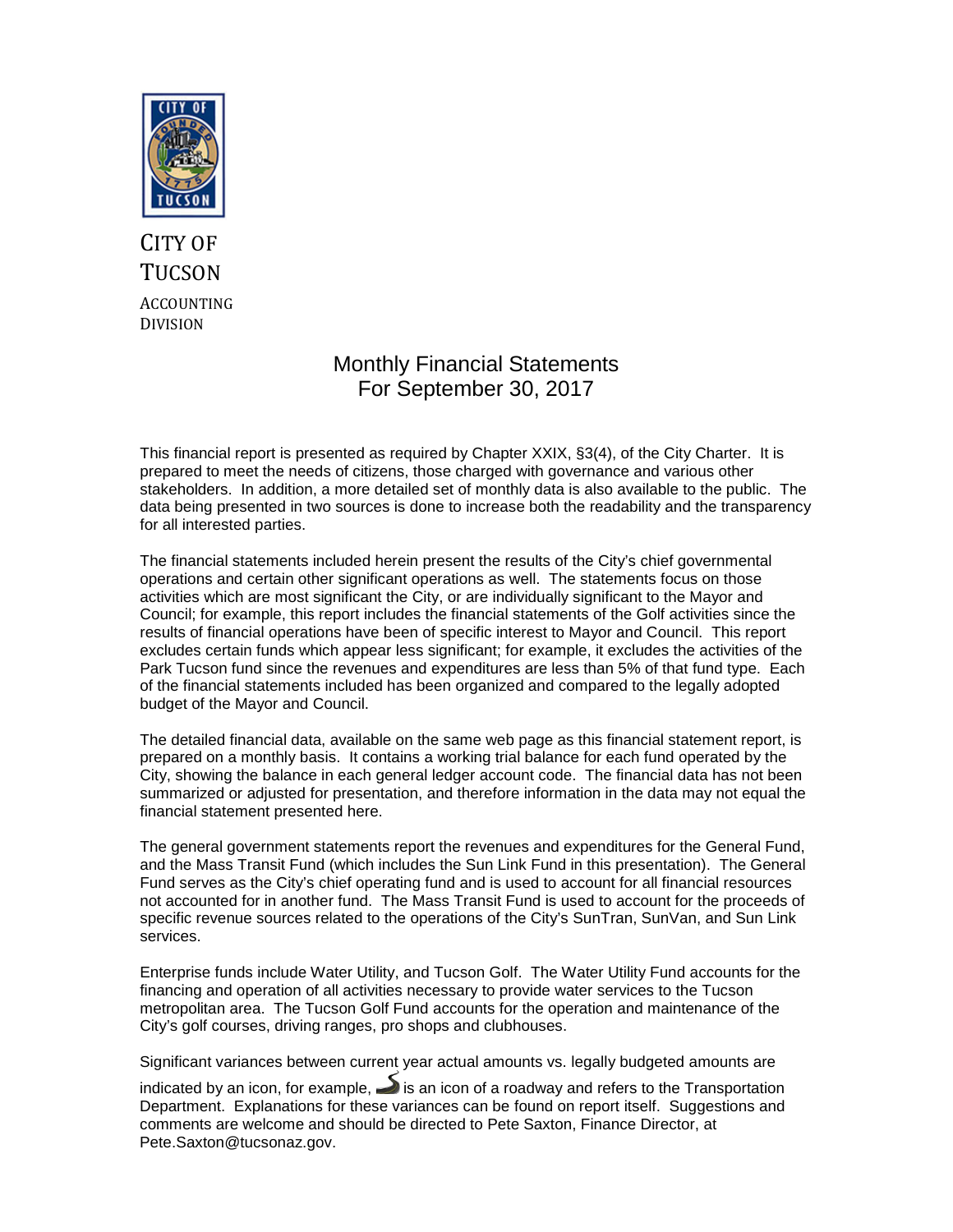

### CITY OF **TUCSON** ACCOUNTING DIVISION

#### Monthly Financial Statements For September 30, 2017

This financial report is presented as required by Chapter XXIX, §3(4), of the City Charter. It is prepared to meet the needs of citizens, those charged with governance and various other stakeholders. In addition, a more detailed set of monthly data is also available to the public. The data being presented in two sources is done to increase both the readability and the transparency for all interested parties.

The financial statements included herein present the results of the City's chief governmental operations and certain other significant operations as well. The statements focus on those activities which are most significant the City, or are individually significant to the Mayor and Council; for example, this report includes the financial statements of the Golf activities since the results of financial operations have been of specific interest to Mayor and Council. This report excludes certain funds which appear less significant; for example, it excludes the activities of the Park Tucson fund since the revenues and expenditures are less than 5% of that fund type. Each of the financial statements included has been organized and compared to the legally adopted budget of the Mayor and Council.

The detailed financial data, available on the same web page as this financial statement report, is prepared on a monthly basis. It contains a working trial balance for each fund operated by the City, showing the balance in each general ledger account code. The financial data has not been summarized or adjusted for presentation, and therefore information in the data may not equal the financial statement presented here.

The general government statements report the revenues and expenditures for the General Fund, and the Mass Transit Fund (which includes the Sun Link Fund in this presentation). The General Fund serves as the City's chief operating fund and is used to account for all financial resources not accounted for in another fund. The Mass Transit Fund is used to account for the proceeds of specific revenue sources related to the operations of the City's SunTran, SunVan, and Sun Link services.

Enterprise funds include Water Utility, and Tucson Golf. The Water Utility Fund accounts for the financing and operation of all activities necessary to provide water services to the Tucson metropolitan area. The Tucson Golf Fund accounts for the operation and maintenance of the City's golf courses, driving ranges, pro shops and clubhouses.

Significant variances between current year actual amounts vs. legally budgeted amounts are

indicated by an icon, for example,  $\blacktriangleright$  is an icon of a roadway and refers to the Transportation Department. Explanations for these variances can be found on report itself. Suggestions and comments are welcome and should be directed to Pete Saxton, Finance Director, at Pete.Saxton@tucsonaz.gov.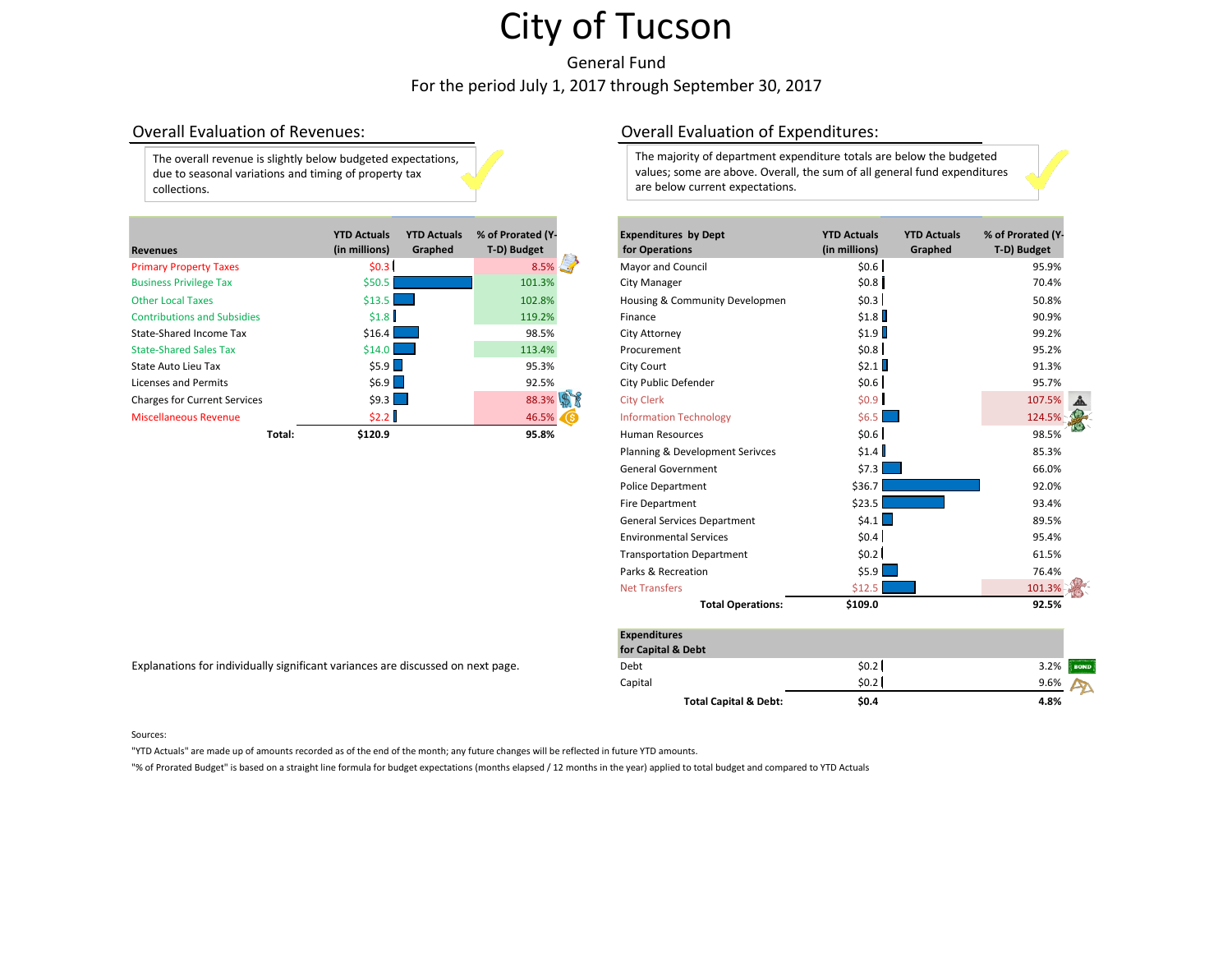General Fund For the period July 1, 2017 through September 30, 2017

The overall revenue is slightly below budgeted expectations, due to seasonal variations and timing of property tax collections.

| <b>Revenues</b>                     |        | <b>YTD Actuals</b><br>(in millions) | <b>YTD Actuals</b><br>Graphed | % of Prorated (Y-<br>T-D) Budget | <b>Expenditures by Dept</b><br><b>for Operations</b> | <b>YTD Actuals</b><br>(in millions) | <b>YTD Actuals</b><br>Graphed | % of Prorated (Y<br>T-D) Budget |
|-------------------------------------|--------|-------------------------------------|-------------------------------|----------------------------------|------------------------------------------------------|-------------------------------------|-------------------------------|---------------------------------|
| <b>Primary Property Taxes</b>       |        | \$0.3                               |                               | $8.5\%$                          | Mayor and Council                                    | \$0.6]                              |                               | 95.9%                           |
| <b>Business Privilege Tax</b>       |        | \$50.5                              |                               | 101.3%                           | City Manager                                         | \$0.8]                              |                               | 70.4%                           |
| <b>Other Local Taxes</b>            |        | $$13.5$ $\Box$                      |                               | 102.8%                           | Housing & Community Developmen                       | \$0.3                               |                               | 50.8%                           |
| <b>Contributions and Subsidies</b>  |        | \$1.8                               |                               | 119.2%                           | Finance                                              | \$1.8                               |                               | 90.9%                           |
| State-Shared Income Tax             |        | \$16.4                              |                               | 98.5%                            | City Attorney                                        | \$1.9                               |                               | 99.2%                           |
| <b>State-Shared Sales Tax</b>       |        | $$14.0$ $\Box$                      |                               | 113.4%                           | Procurement                                          | \$0.8                               |                               | 95.2%                           |
| State Auto Lieu Tax                 |        | \$5.9                               |                               | 95.3%                            | City Court                                           | \$2.1                               |                               | 91.3%                           |
| Licenses and Permits                |        | \$6.9                               |                               | 92.5%                            | City Public Defender                                 | \$0.6                               |                               | 95.7%                           |
| <b>Charges for Current Services</b> |        | $$9.3$ $\Box$                       |                               | 88.3%                            | <b>City Clerk</b>                                    | \$0.9                               |                               | 107.5%                          |
| Miscellaneous Revenue               |        | \$2.2 l                             |                               | 46.5%                            | <b>Information Technology</b>                        | $$6.5$ $\Box$                       |                               | 124.5%                          |
|                                     | Total: | \$120.9                             |                               | 95.8%                            | <b>Human Resources</b>                               | \$0.6]                              |                               | 98.5%                           |

#### Explanations for individually significant variances are discussed on next page.

#### Overall Evaluation of Revenues: Overall Evaluation of Expenditures:

The majority of department expenditure totals are below the budgeted values; some are above. Overall, the sum of all general fund expenditures are below current expectations.

|        | <b>YTD Actuals</b><br>(in millions) | <b>YTD Actuals</b><br>Graphed | % of Prorated (Y-<br>T-D) Budget |   | <b>Expenditures by Dept</b><br>for Operations | <b>YTD Actuals</b><br>(in millions) | <b>YTD Actuals</b><br>Graphed | % of Prorated (Y-<br>T-D) Budget |  |
|--------|-------------------------------------|-------------------------------|----------------------------------|---|-----------------------------------------------|-------------------------------------|-------------------------------|----------------------------------|--|
|        | \$0.3                               |                               | 8.5%                             | 5 | Mayor and Council                             | \$0.6                               |                               | 95.9%                            |  |
|        | \$50.5                              |                               | 101.3%                           |   | City Manager                                  | \$0.8]                              |                               | 70.4%                            |  |
|        | \$13.5                              |                               | 102.8%                           |   | Housing & Community Developmen                | \$0.3                               |                               | 50.8%                            |  |
|        | \$1.8]                              |                               | 119.2%                           |   | Finance                                       | \$1.8                               |                               | 90.9%                            |  |
|        | \$16.4                              |                               | 98.5%                            |   | City Attorney                                 | \$1.9                               |                               | 99.2%                            |  |
|        | \$14.0                              |                               | 113.4%                           |   | Procurement                                   | \$0.8]                              |                               | 95.2%                            |  |
|        | \$5.9                               |                               | 95.3%                            |   | City Court                                    | \$2.1                               |                               | 91.3%                            |  |
|        | \$6.9                               |                               | 92.5%                            |   | City Public Defender                          | \$0.6                               |                               | 95.7%                            |  |
|        | $$9.3$ $\Box$                       |                               | 88.3%                            |   | <b>City Clerk</b>                             | \$0.9                               |                               | 107.5%                           |  |
|        | \$2.2                               |                               | 46.5%                            |   | <b>Information Technology</b>                 | \$6.5                               |                               | 124.5%                           |  |
| Total: | \$120.9                             |                               | 95.8%                            |   | <b>Human Resources</b>                        | \$0.6]                              |                               | 98.5%                            |  |
|        |                                     |                               |                                  |   | Planning & Development Serivces               | \$1.4                               |                               | 85.3%                            |  |
|        |                                     |                               |                                  |   | <b>General Government</b>                     | \$7.3                               |                               | 66.0%                            |  |
|        |                                     |                               |                                  |   | Police Department                             | \$36.7                              |                               | 92.0%                            |  |
|        |                                     |                               |                                  |   | Fire Department                               | \$23.5                              |                               | 93.4%                            |  |
|        |                                     |                               |                                  |   | <b>General Services Department</b>            | $$4.1$ $\Box$                       |                               | 89.5%                            |  |
|        |                                     |                               |                                  |   | <b>Environmental Services</b>                 | \$0.4                               |                               | 95.4%                            |  |
|        |                                     |                               |                                  |   | <b>Transportation Department</b>              | \$0.2                               |                               | 61.5%                            |  |
|        |                                     |                               |                                  |   | Parks & Recreation                            | $$5.9$ $\Box$                       |                               | 76.4%                            |  |
|        |                                     |                               |                                  |   | <b>Net Transfers</b>                          | \$12.5                              |                               | 101.3%                           |  |
|        |                                     |                               |                                  |   | <b>Total Operations:</b>                      | \$109.0                             |                               | 92.5%                            |  |

| <b>Expenditures</b>              |       |                     |
|----------------------------------|-------|---------------------|
| for Capital & Debt               |       |                     |
| Debt                             | \$0.2 | 3.2%<br><b>BOND</b> |
| Capital                          | \$0.2 | 9.6%                |
| <b>Total Capital &amp; Debt:</b> | \$0.4 | 4.8%                |

#### Sources:

"YTD Actuals" are made up of amounts recorded as of the end of the month; any future changes will be reflected in future YTD amounts.

"% of Prorated Budget" is based on a straight line formula for budget expectations (months elapsed / 12 months in the year) applied to total budget and compared to YTD Actuals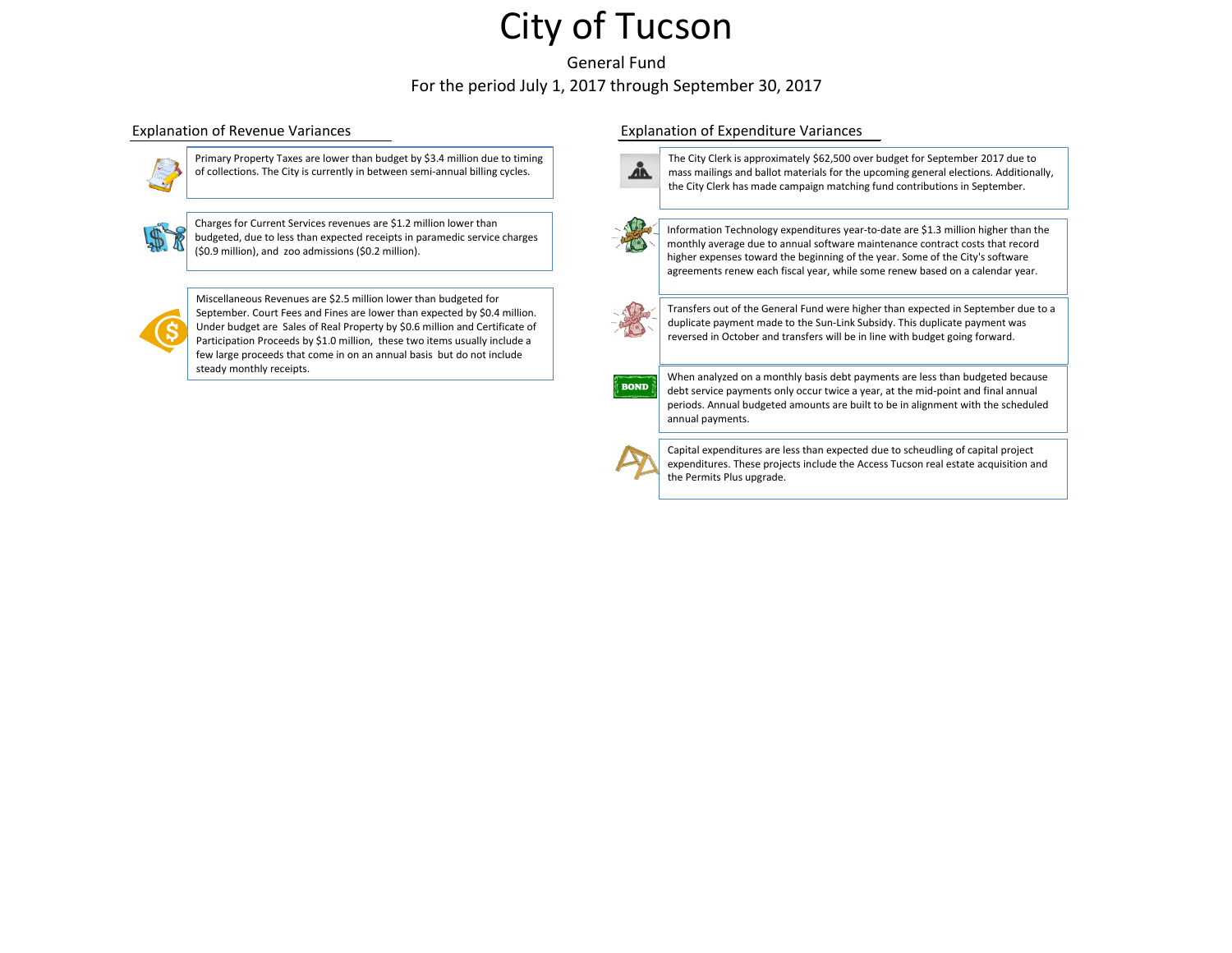General Fund For the period July 1, 2017 through September 30, 2017



Primary Property Taxes are lower than budget by \$3.4 million due to timing of collections. The City is currently in between semi-annual billing cycles.



Charges for Current Services revenues are \$1.2 million lower than budgeted, due to less than expected receipts in paramedic service charges (\$0.9 million), and zoo admissions (\$0.2 million).



Miscellaneous Revenues are \$2.5 million lower than budgeted for September. Court Fees and Fines are lower than expected by \$0.4 million. Under budget are Sales of Real Property by \$0.6 million and Certificate of Participation Proceeds by \$1.0 million, these two items usually include a few large proceeds that come in on an annual basis but do not include steady monthly receipts.

#### Explanation of Revenue Variances Explanation of Expenditure Variances



The City Clerk is approximately \$62,500 over budget for September 2017 due to mass mailings and ballot materials for the upcoming general elections. Additionally, the City Clerk has made campaign matching fund contributions in September.



Information Technology expenditures year-to-date are \$1.3 million higher than the monthly average due to annual software maintenance contract costs that record higher expenses toward the beginning of the year. Some of the City's software agreements renew each fiscal year, while some renew based on a calendar year.



Transfers out of the General Fund were higher than expected in September due to a duplicate payment made to the Sun-Link Subsidy. This duplicate payment was reversed in October and transfers will be in line with budget going forward.



When analyzed on a monthly basis debt payments are less than budgeted because debt service payments only occur twice a year, at the mid-point and final annual periods. Annual budgeted amounts are built to be in alignment with the scheduled annual payments.



Capital expenditures are less than expected due to scheudling of capital project expenditures. These projects include the Access Tucson real estate acquisition and the Permits Plus upgrade.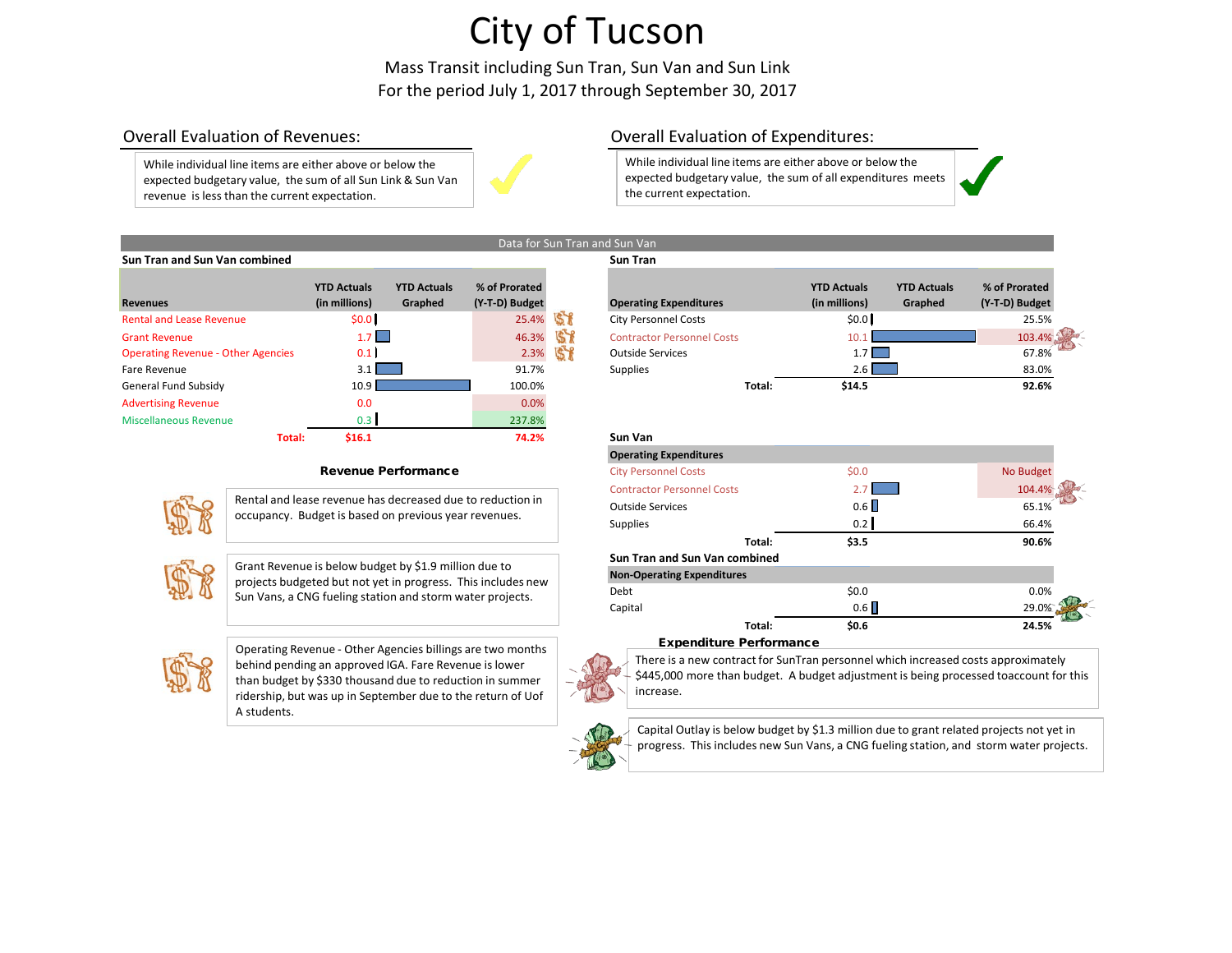Mass Transit including Sun Tran, Sun Van and Sun Link For the period July 1, 2017 through September 30, 2017

Data for Sun Tran and Sun Van

While individual line items are either above or below the expected budgetary value, the sum of all Sun Link & Sun Van revenue is less than the current expectation.



### Overall Evaluation of Revenues: Overall Evaluation of Expenditures:

While individual line items are either above or below the expected budgetary value, the sum of all expenditures meets the current expectation.

| Sun Tran and Sun Van combined             |                                     |                               |                                 |    | <b>Sun Tran</b>                   |        |                                     |                               |                                 |
|-------------------------------------------|-------------------------------------|-------------------------------|---------------------------------|----|-----------------------------------|--------|-------------------------------------|-------------------------------|---------------------------------|
| <b>Revenues</b>                           | <b>YTD Actuals</b><br>(in millions) | <b>YTD Actuals</b><br>Graphed | % of Prorated<br>(Y-T-D) Budget |    | <b>Operating Expenditures</b>     |        | <b>YTD Actuals</b><br>(in millions) | <b>YTD Actuals</b><br>Graphed | % of Prorated<br>(Y-T-D) Budget |
| <b>Rental and Lease Revenue</b>           | \$0.0 <sub>1</sub>                  |                               | 25.4%                           |    | <b>City Personnel Costs</b>       |        | \$0.0                               |                               | 25.5%                           |
| <b>Grant Revenue</b>                      | 1.7                                 |                               | 46.3%                           | 57 | <b>Contractor Personnel Costs</b> |        | 10 1                                |                               | 103.4%                          |
| <b>Operating Revenue - Other Agencies</b> | 0.1                                 |                               | 2.3%                            |    | <b>Outside Services</b>           |        | $1.7$ $\Box$                        |                               | 67.8%                           |
| Fare Revenue                              | $3.1 \text{ }$                      |                               | 91.7%                           |    | Supplies                          |        | $2.6$ $\blacksquare$                |                               | 83.0%                           |
| <b>General Fund Subsidy</b>               | 10.9 <sub>l</sub>                   |                               | 100.0%                          |    |                                   | Total: | \$14.5                              |                               | 92.6%                           |
| <b>Advertising Revenue</b>                | 0.0                                 |                               | 0.0%                            |    |                                   |        |                                     |                               |                                 |
| Miscellaneous Revenue                     | 0.3                                 |                               | 237.8%                          |    |                                   |        |                                     |                               |                                 |
| Total:                                    | \$16.1                              |                               | 74.2%                           |    | <b>Sun Van</b>                    |        |                                     |                               |                                 |

#### Revenue Performance



Rental and lease revenue has decreased due to reduction in occupancy. Budget is based on previous year revenues.



Grant Revenue is below budget by \$1.9 million due to projects budgeted but not yet in progress. This includes new Sun Vans, a CNG fueling station and storm water projects.



Operating Revenue - Other Agencies billings are two months behind pending an approved IGA. Fare Revenue is lower than budget by \$330 thousand due to reduction in summer ridership, but was up in September due to the return of Uof A students.



**Operating Expenditures YTD Actuals (in millions) YTD Actuals Graphed % of Prorated (Y-T-D) Budget** Contractor Personnel Costs 10.1 103.4% Contractor Personnel Costs 103.4% Contractor Personnel Costs 103.4%

| <b>Sun Van</b>                       |         |           |
|--------------------------------------|---------|-----------|
| <b>Operating Expenditures</b>        |         |           |
| <b>City Personnel Costs</b>          | \$0.0\$ | No Budget |
| <b>Contractor Personnel Costs</b>    | 2.7     | 104.4%    |
| <b>Outside Services</b>              | 0.6     | 65.1%     |
| <b>Supplies</b>                      | 0.2     | 66.4%     |
| Total:                               | \$3.5   | 90.6%     |
| <b>Sun Tran and Sun Van combined</b> |         |           |
| <b>Non-Operating Expenditures</b>    |         |           |
| Debt                                 | \$0.0   | 0.0%      |
| Capital                              | 0.6     | 29.0%     |
| Total:                               | \$0.6   | 24.5%     |

#### Expenditure Performance

There is a new contract for SunTran personnel which increased costs approximately \$445,000 more than budget. A budget adjustment is being processed toaccount for this increase.

Capital Outlay is below budget by \$1.3 million due to grant related projects not yet in progress. This includes new Sun Vans, a CNG fueling station, and storm water projects.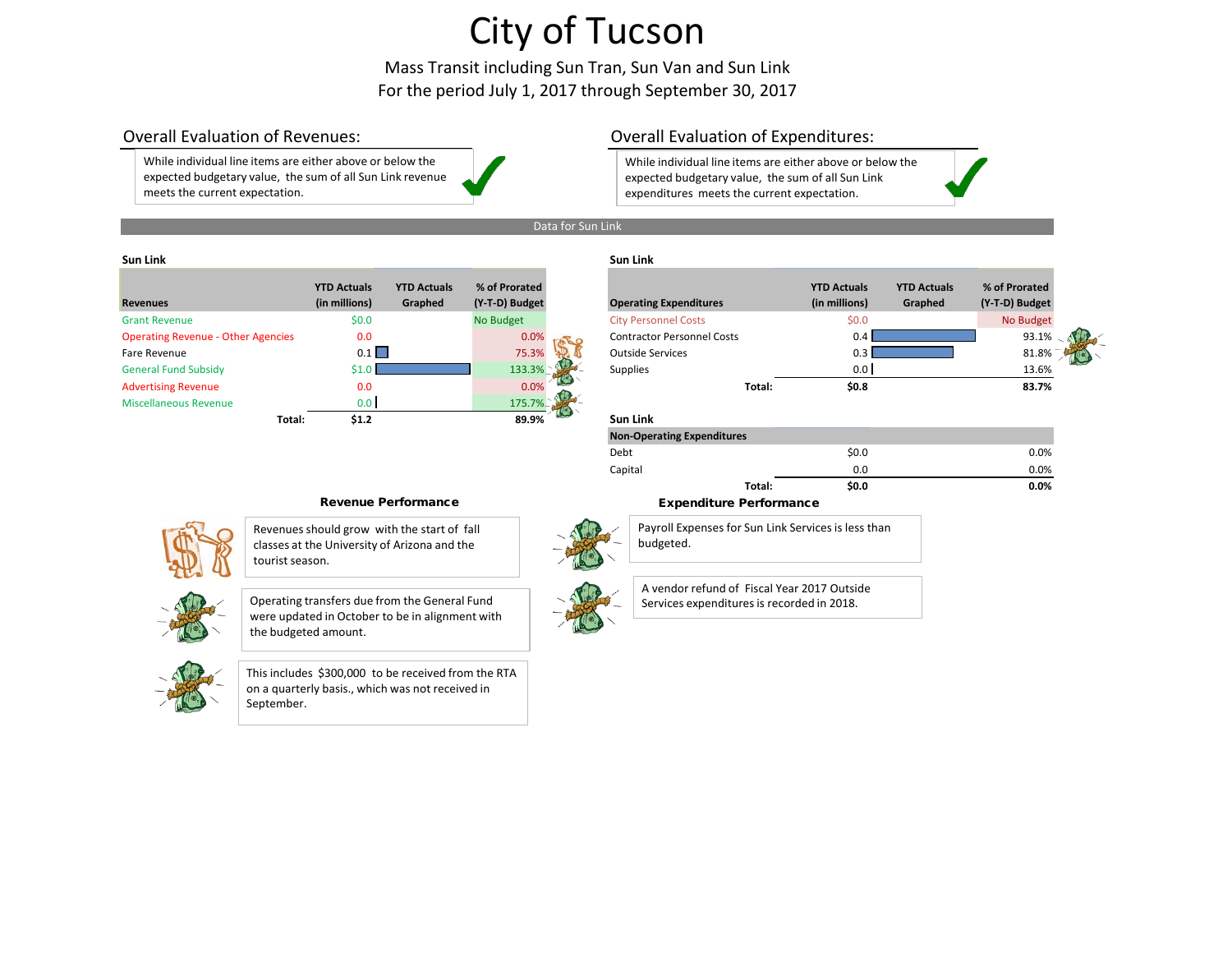Mass Transit including Sun Tran, Sun Van and Sun Link For the period July 1, 2017 through September 30, 2017

While individual line items are either above or below the expected budgetary value, the sum of all Sun Link revenue meets the current expectation.

### Overall Evaluation of Revenues: Overall Evaluation of Expenditures:

While individual line items are either above or below the expected budgetary value, the sum of all Sun Link expenditures meets the current expectation.



#### **Sun Link Sun Link**

| <b>Revenues</b>                           | <b>YTD Actuals</b><br>(in millions) | <b>YTD Actuals</b><br>Graphed | % of Prorated<br>(Y-T-D) Budget |     | <b>Operating Expenditures</b>     |        | <b>YTD Actuals</b><br>(in millions) | <b>YTD Actuals</b><br>Graphed | % of Prorated<br>(Y-T-D) Budget |
|-------------------------------------------|-------------------------------------|-------------------------------|---------------------------------|-----|-----------------------------------|--------|-------------------------------------|-------------------------------|---------------------------------|
| <b>Grant Revenue</b>                      | \$0.0\$                             |                               | No Budget                       |     | <b>City Personnel Costs</b>       |        | \$0.0\$                             |                               | <b>No Budget</b>                |
| <b>Operating Revenue - Other Agencies</b> | 0.0                                 |                               | 0.0%                            | ALO | <b>Contractor Personnel Costs</b> |        | 0.4                                 |                               | 93.1%                           |
| Fare Revenue                              | 0.1                                 |                               | 75.3%                           |     | <b>Outside Services</b>           |        |                                     |                               | 81.8%                           |
| <b>General Fund Subsidy</b>               |                                     |                               | 133.3%                          |     | <b>Supplies</b>                   |        | 0.0                                 |                               | 13.6%                           |
| <b>Advertising Revenue</b>                | 0.0                                 |                               | 0.0%                            |     |                                   | Total: | \$0.8\$                             |                               | 83.7%                           |
| <b>Miscellaneous Revenue</b>              | 0.0                                 |                               | 175.7%                          |     |                                   |        |                                     |                               |                                 |
| Total:                                    | \$1.2\$                             |                               | 89.9%                           |     | <b>Sun Link</b>                   |        |                                     |                               |                                 |

| % of Prorated<br>(Y-T-D) Budget | <b>Operating Expenditures</b>     | <b>YTD Actuals</b><br>(in millions) | <b>YTD Actuals</b><br>Graphed | % of Prorated<br>(Y-T-D) Budget |  |
|---------------------------------|-----------------------------------|-------------------------------------|-------------------------------|---------------------------------|--|
| No Budget                       | <b>City Personnel Costs</b>       | \$0.0                               |                               | No Budget                       |  |
| 0.0%                            | <b>Contractor Personnel Costs</b> | 0.4                                 |                               | 93.1%                           |  |
| 75.3%                           | <b>Outside Services</b>           | 0.3                                 |                               | 81.8%                           |  |
| 133.3%                          | <b>Supplies</b>                   | 0.0                                 |                               | 13.6%                           |  |
| 0.0%                            | Total:                            | \$0.8\$                             |                               | 83.7%                           |  |
| 175.7%                          |                                   |                                     |                               |                                 |  |
| 89.9%                           | <b>Sun Link</b>                   |                                     |                               |                                 |  |
|                                 | <b>Non-Operating Expenditures</b> |                                     |                               |                                 |  |

**Total: \$0.0 0.0%**

 $\text{Debt}$  0.0% and  $\text{So.0}$  0.0% below 0.0% Capital 0.0 0.0%



Revenues should grow with the start of fall classes at the University of Arizona and the tourist season.





This includes \$300,000 to be received from the RTA on a quarterly basis., which was not received in September.

### Revenue Performance **Expenditure Performance**



A vendor refund of Fiscal Year 2017 Outside Services expenditures is recorded in 2018.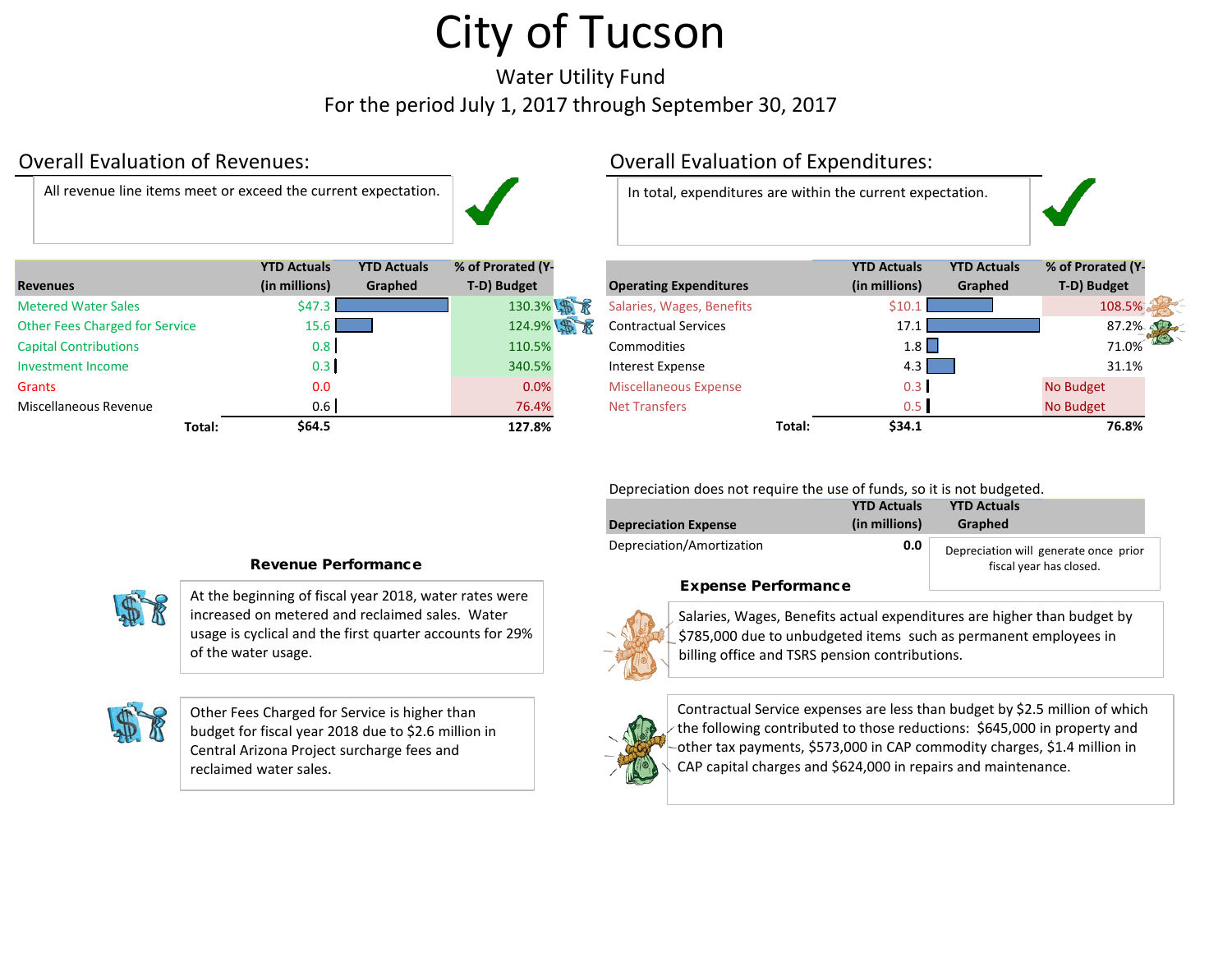Water Utility Fund For the period July 1, 2017 through September 30, 2017

All revenue line items meet or exceed the current expectation. | and in total, expenditures are within the current expectation.



|                                       | <b>YTD Actuals</b> | <b>YTD Actuals</b> | % of Prorated (Y- |                               |        | <b>YTD Actuals</b> | <b>YTD Actuals</b> | % of Prorated (Y |
|---------------------------------------|--------------------|--------------------|-------------------|-------------------------------|--------|--------------------|--------------------|------------------|
| <b>Revenues</b>                       | (in millions)      | Graphed            | T-D) Budget       | <b>Operating Expenditures</b> |        | (in millions)      | Graphed            | T-D) Budget      |
| <b>Metered Water Sales</b>            | \$47.3             |                    | 130.3% \$         | Salaries, Wages, Benefits     |        | \$10               |                    | 108.5%           |
| <b>Other Fees Charged for Service</b> | $15.6 \square$     |                    | 124.9% \$         | <b>Contractual Services</b>   |        | 17.1               |                    | 87.2%            |
| <b>Capital Contributions</b>          | 0.8 <sub>1</sub>   |                    | 110.5%            | Commodities                   |        | 1.8                |                    | 71.0%            |
| <b>Investment Income</b>              | 0.3                |                    | 340.5%            | Interest Expense              |        | 4.3                |                    | 31.1%            |
| Grants                                | 0.0                |                    | 0.0%              | <b>Miscellaneous Expense</b>  |        | 0.3                |                    | No Budget        |
| Miscellaneous Revenue                 | 0.6                |                    | 76.4%             | <b>Net Transfers</b>          |        | 0.5                |                    | No Budget        |
| Total:                                | \$64.5             |                    | 127.8%            |                               | Total: | \$34.1             |                    | 76.8%            |

### Overall Evaluation of Revenues: Overall Evaluation of Expenditures:

|        | <b>YTD Actuals</b><br>(in millions) | <b>YTD Actuals</b><br>Graphed | % of Prorated (Y-<br>T-D) Budget | <b>Operating Expenditures</b> |        | <b>YTD Actuals</b><br>(in millions) | <b>YTD Actuals</b><br>Graphed | % of Prorated (Y-<br>T-D) Budget |  |
|--------|-------------------------------------|-------------------------------|----------------------------------|-------------------------------|--------|-------------------------------------|-------------------------------|----------------------------------|--|
|        | \$47.3                              |                               | 130.3% \$                        | Salaries, Wages, Benefits     |        | \$10.1                              |                               | 108.5%                           |  |
| ce     | 15.6 <sub>h</sub>                   |                               | 124.9% 第                         | <b>Contractual Services</b>   |        | 17.1                                |                               | 87.2%                            |  |
|        | 0.8                                 |                               | 110.5%                           | Commodities                   |        | 1.8                                 |                               | 71.0%                            |  |
|        | 0.3                                 |                               | 340.5%                           | Interest Expense              |        | $4.3 \text{ }$                      |                               | 31.1%                            |  |
|        | 0.0                                 |                               | 0.0%                             | <b>Miscellaneous Expense</b>  |        | 0.3                                 |                               | No Budget                        |  |
|        | 0.6                                 |                               | 76.4%                            | <b>Net Transfers</b>          |        | 0.5                                 |                               | No Budget                        |  |
| Total: | \$64.5                              |                               | 127.8%                           |                               | Total: | \$34.1                              |                               | 76.8%                            |  |

Depreciation does not require the use of funds, so it is not budgeted.

|                             | <b>YTD Actuals</b> | <b>YTD Actuals</b>                                               |
|-----------------------------|--------------------|------------------------------------------------------------------|
| <b>Depreciation Expense</b> | (in millions)      | Graphed                                                          |
| Depreciation/Amortization   | 0.0                | Depreciation will generate once prior<br>fiscal year has closed. |
| Evnanca Darformanca         |                    |                                                                  |

#### Expense Performance



Salaries, Wages, Benefits actual expenditures are higher than budget by \$785,000 due to unbudgeted items such as permanent employees in billing office and TSRS pension contributions.



Contractual Service expenses are less than budget by \$2.5 million of which the following contributed to those reductions: \$645,000 in property and other tax payments, \$573,000 in CAP commodity charges, \$1.4 million in CAP capital charges and \$624,000 in repairs and maintenance.

### Revenue Performance

At the beginning of fiscal year 2018, water rates were increased on metered and reclaimed sales. Water usage is cyclical and the first quarter accounts for 29% of the water usage.



Other Fees Charged for Service is higher than budget for fiscal year 2018 due to \$2.6 million in Central Arizona Project surcharge fees and reclaimed water sales.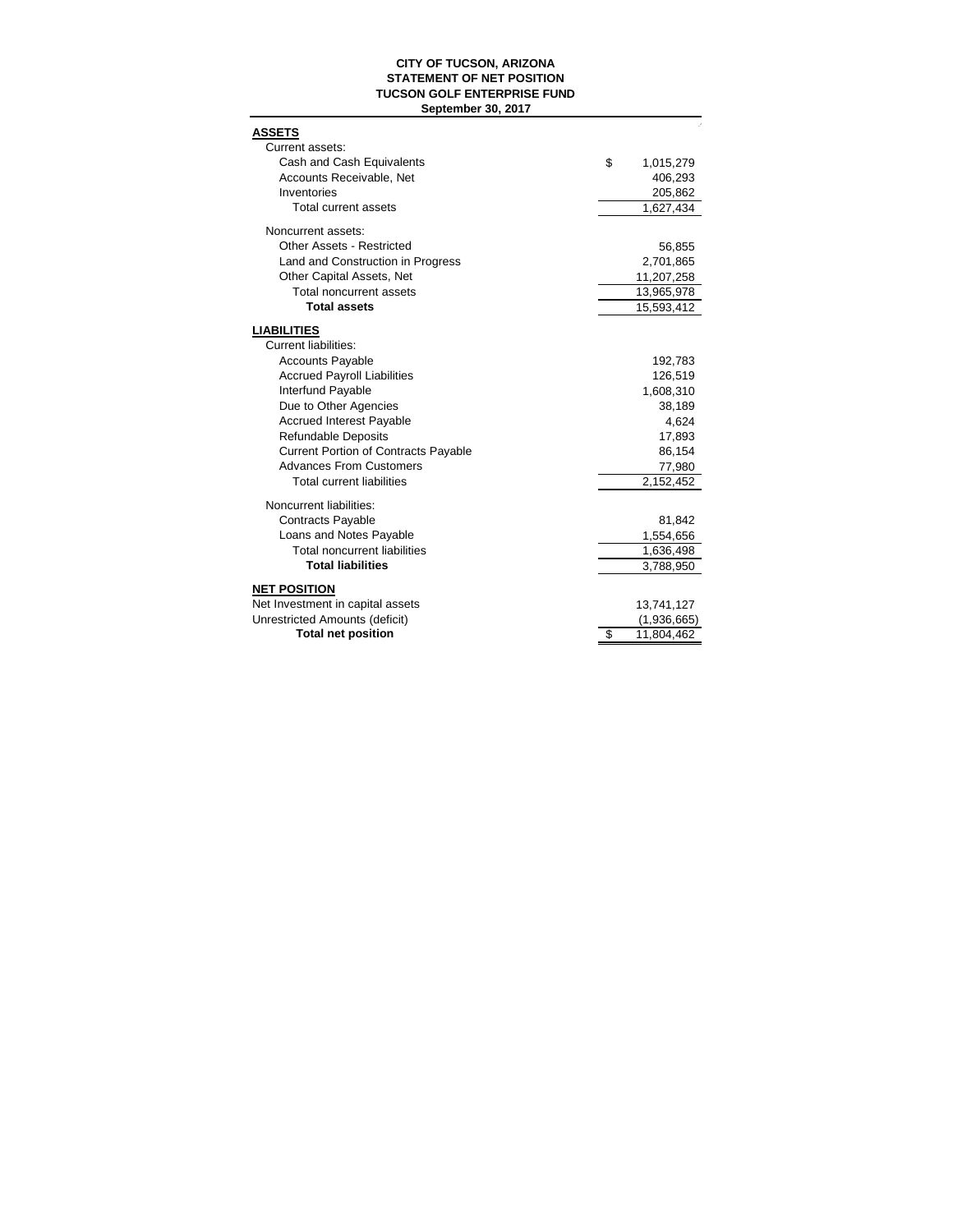#### **CITY OF TUCSON, ARIZONA STATEMENT OF NET POSITION TUCSON GOLF ENTERPRISE FUND September 30, 2017**

| <u>ASSETS</u>                                     |                  |
|---------------------------------------------------|------------------|
| Current assets:                                   |                  |
| Cash and Cash Equivalents                         | \$<br>1,015,279  |
| Accounts Receivable, Net                          | 406,293          |
| Inventories                                       | 205,862          |
| Total current assets                              | 1,627,434        |
| Noncurrent assets:                                |                  |
| <b>Other Assets - Restricted</b>                  | 56,855           |
| Land and Construction in Progress                 | 2,701,865        |
| Other Capital Assets, Net                         | 11,207,258       |
| Total noncurrent assets                           | 13,965,978       |
| <b>Total assets</b>                               | 15,593,412       |
|                                                   |                  |
| <b>LIABILITIES</b><br><b>Current liabilities:</b> |                  |
| <b>Accounts Payable</b>                           | 192,783          |
| <b>Accrued Payroll Liabilities</b>                | 126,519          |
| Interfund Payable                                 | 1,608,310        |
| Due to Other Agencies                             | 38,189           |
| <b>Accrued Interest Payable</b>                   | 4,624            |
| <b>Refundable Deposits</b>                        | 17,893           |
| <b>Current Portion of Contracts Payable</b>       | 86,154           |
| <b>Advances From Customers</b>                    | 77,980           |
| <b>Total current liabilities</b>                  | 2,152,452        |
|                                                   |                  |
| Noncurrent liabilities:                           |                  |
| Contracts Payable                                 | 81,842           |
| Loans and Notes Payable                           | 1,554,656        |
| <b>Total noncurrent liabilities</b>               | 1,636,498        |
| <b>Total liabilities</b>                          | 3,788,950        |
| <b>NET POSITION</b>                               |                  |
| Net Investment in capital assets                  | 13,741,127       |
| Unrestricted Amounts (deficit)                    | (1,936,665)      |
| <b>Total net position</b>                         | \$<br>11,804,462 |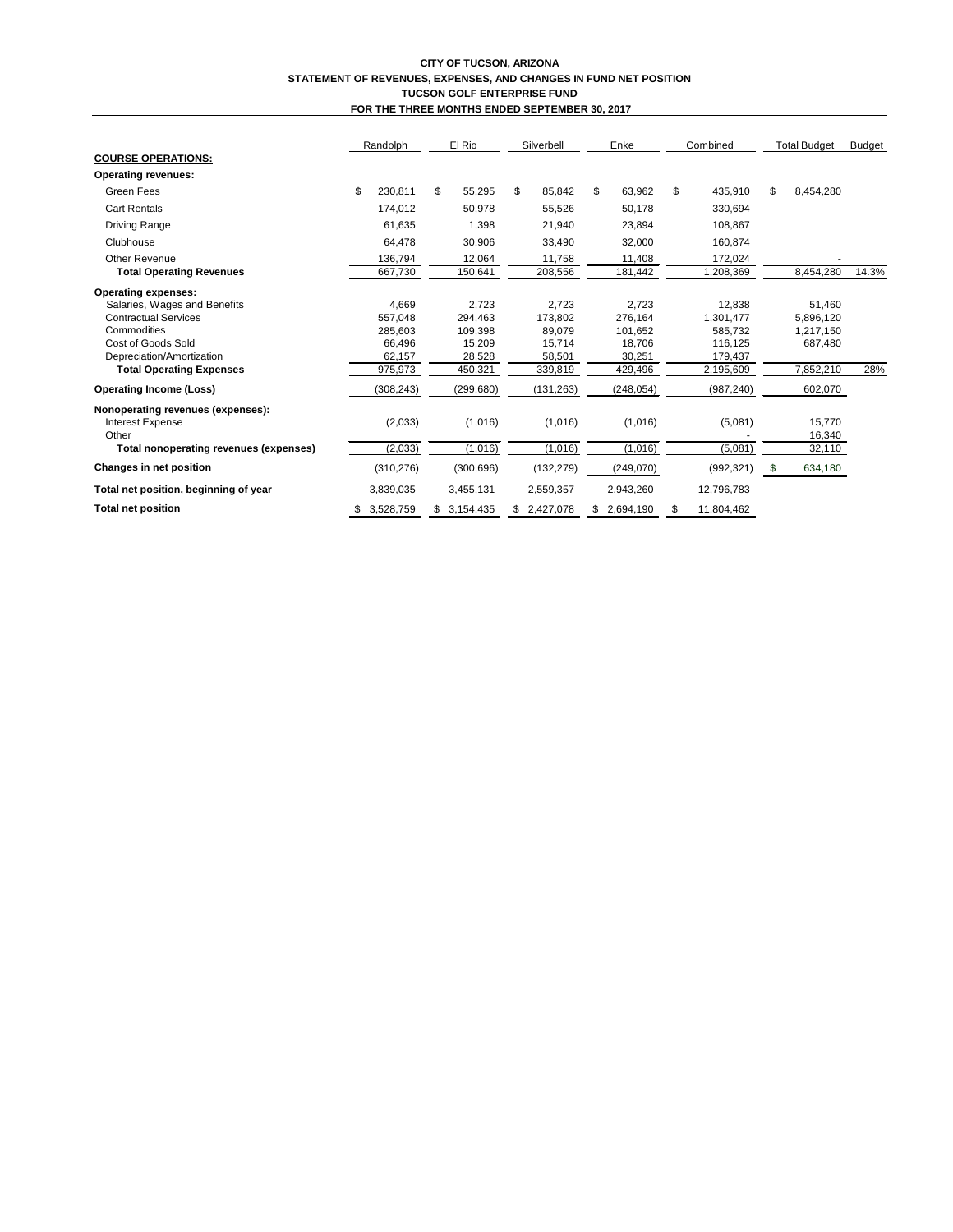|                                               | Randolph        |    | El Rio<br>Silverbell |    | Enke       |    | Combined   |    | <b>Total Budget</b> |    | <b>Budget</b> |       |
|-----------------------------------------------|-----------------|----|----------------------|----|------------|----|------------|----|---------------------|----|---------------|-------|
| <b>COURSE OPERATIONS:</b>                     |                 |    |                      |    |            |    |            |    |                     |    |               |       |
| <b>Operating revenues:</b>                    |                 |    |                      |    |            |    |            |    |                     |    |               |       |
| Green Fees                                    | \$<br>230,811   | \$ | 55,295               | \$ | 85,842     | \$ | 63,962     | \$ | 435,910             | \$ | 8,454,280     |       |
| <b>Cart Rentals</b>                           | 174,012         |    | 50,978               |    | 55,526     |    | 50,178     |    | 330,694             |    |               |       |
| <b>Driving Range</b>                          | 61,635          |    | 1,398                |    | 21,940     |    | 23,894     |    | 108,867             |    |               |       |
| Clubhouse                                     | 64,478          |    | 30,906               |    | 33,490     |    | 32,000     |    | 160,874             |    |               |       |
| <b>Other Revenue</b>                          | 136,794         |    | 12,064               |    | 11,758     |    | 11,408     |    | 172,024             |    |               |       |
| <b>Total Operating Revenues</b>               | 667,730         |    | 150,641              |    | 208,556    |    | 181,442    |    | 1,208,369           |    | 8,454,280     | 14.3% |
| <b>Operating expenses:</b>                    |                 |    |                      |    |            |    |            |    |                     |    |               |       |
| Salaries, Wages and Benefits                  | 4,669           |    | 2,723                |    | 2,723      |    | 2,723      |    | 12,838              |    | 51,460        |       |
| <b>Contractual Services</b>                   | 557,048         |    | 294,463              |    | 173,802    |    | 276,164    |    | 1,301,477           |    | 5,896,120     |       |
| Commodities                                   | 285,603         |    | 109,398              |    | 89,079     |    | 101,652    |    | 585,732             |    | 1,217,150     |       |
| Cost of Goods Sold                            | 66,496          |    | 15,209               |    | 15,714     |    | 18,706     |    | 116,125             |    | 687,480       |       |
| Depreciation/Amortization                     | 62,157          |    | 28,528               |    | 58,501     |    | 30,251     |    | 179,437             |    |               |       |
| <b>Total Operating Expenses</b>               | 975,973         |    | 450,321              |    | 339,819    |    | 429,496    |    | 2,195,609           |    | 7,852,210     | 28%   |
| <b>Operating Income (Loss)</b>                | (308, 243)      |    | (299, 680)           |    | (131, 263) |    | (248, 054) |    | (987, 240)          |    | 602,070       |       |
| Nonoperating revenues (expenses):             |                 |    |                      |    |            |    |            |    |                     |    |               |       |
| Interest Expense                              | (2,033)         |    | (1,016)              |    | (1,016)    |    | (1,016)    |    | (5,081)             |    | 15,770        |       |
| Other                                         |                 |    |                      |    |            |    |            |    |                     |    | 16,340        |       |
| <b>Total nonoperating revenues (expenses)</b> | (2,033)         |    | (1,016)              |    | (1,016)    |    | (1,016)    |    | (5,081)             |    | 32,110        |       |
| <b>Changes in net position</b>                | (310, 276)      |    | (300, 696)           |    | (132, 279) |    | (249,070)  |    | (992, 321)          | -S | 634,180       |       |
| Total net position, beginning of year         | 3,839,035       |    | 3,455,131            |    | 2,559,357  |    | 2,943,260  |    | 12,796,783          |    |               |       |
| <b>Total net position</b>                     | \$<br>3,528,759 |    | 3,154,435            | S. | 2,427,078  | \$ | 2,694,190  | \$ | 11,804,462          |    |               |       |

#### **CITY OF TUCSON, ARIZONA STATEMENT OF REVENUES, EXPENSES, AND CHANGES IN FUND NET POSITION TUCSON GOLF ENTERPRISE FUND FOR THE THREE MONTHS ENDED SEPTEMBER 30, 2017**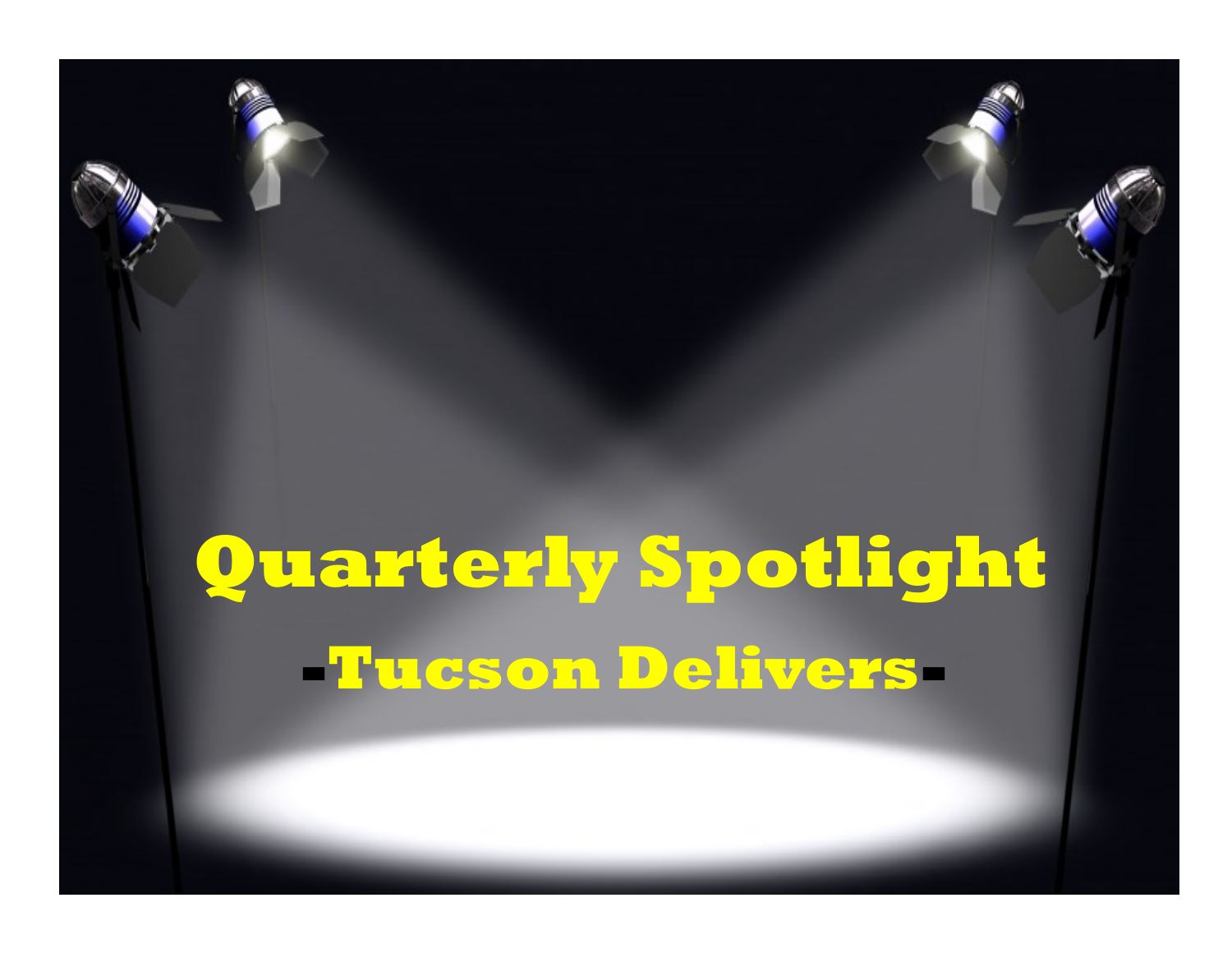# **Quarterly Spotlight -Tucson Delivers-**